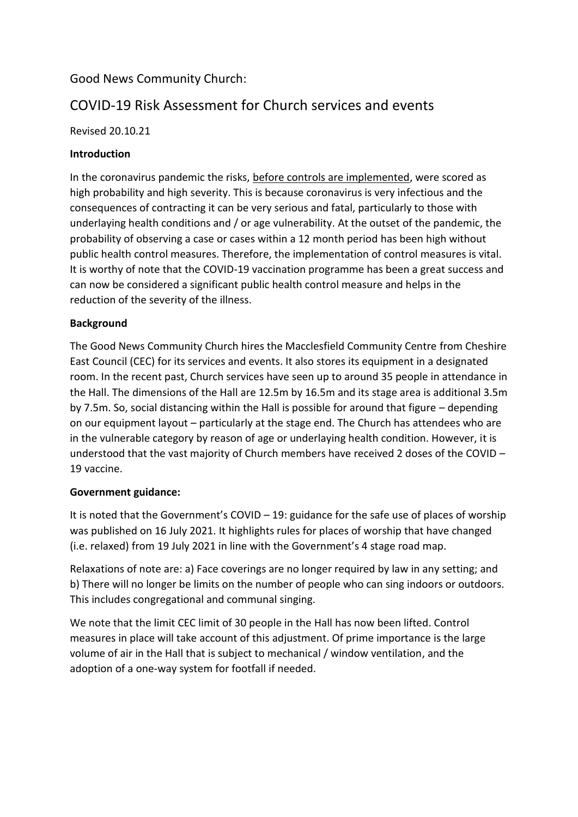## Good News Community Church:

# COVID-19 Risk Assessment for Church services and events

Revised 20.10.21

## **Introduction**

In the coronavirus pandemic the risks, before controls are implemented, were scored as high probability and high severity. This is because coronavirus is very infectious and the consequences of contracting it can be very serious and fatal, particularly to those with underlaying health conditions and / or age vulnerability. At the outset of the pandemic, the probability of observing a case or cases within a 12 month period has been high without public health control measures. Therefore, the implementation of control measures is vital. It is worthy of note that the COVID-19 vaccination programme has been a great success and can now be considered a significant public health control measure and helps in the reduction of the severity of the illness.

## **Background**

The Good News Community Church hires the Macclesfield Community Centre from Cheshire East Council (CEC) for its services and events. It also stores its equipment in a designated room. In the recent past, Church services have seen up to around 35 people in attendance in the Hall. The dimensions of the Hall are 12.5m by 16.5m and its stage area is additional 3.5m by 7.5m. So, social distancing within the Hall is possible for around that figure – depending on our equipment layout – particularly at the stage end. The Church has attendees who are in the vulnerable category by reason of age or underlaying health condition. However, it is understood that the vast majority of Church members have received 2 doses of the COVID – 19 vaccine.

## **Government guidance:**

It is noted that the Government's COVID – 19: guidance for the safe use of places of worship was published on 16 July 2021. It highlights rules for places of worship that have changed (i.e. relaxed) from 19 July 2021 in line with the Government's 4 stage road map.

Relaxations of note are: a) Face coverings are no longer required by law in any setting; and b) There will no longer be limits on the number of people who can sing indoors or outdoors. This includes congregational and communal singing.

We note that the limit CEC limit of 30 people in the Hall has now been lifted. Control measures in place will take account of this adjustment. Of prime importance is the large volume of air in the Hall that is subject to mechanical / window ventilation, and the adoption of a one-way system for footfall if needed.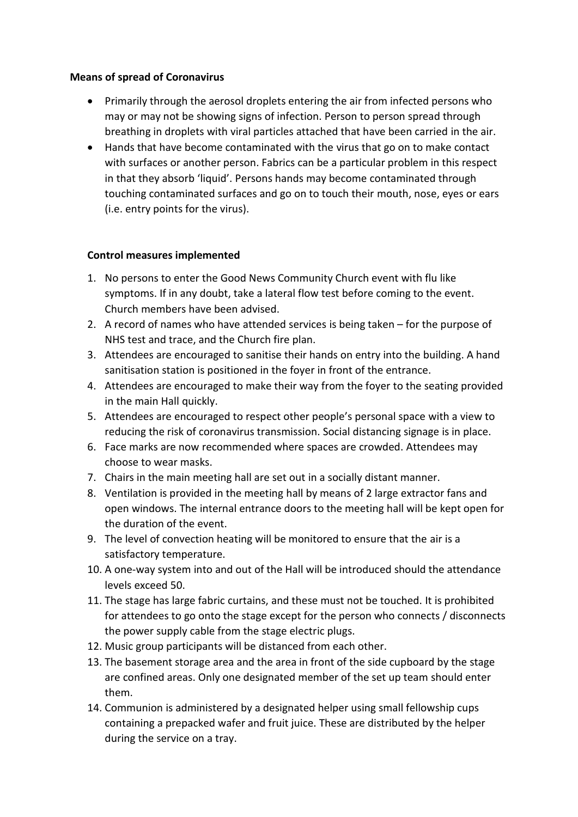#### **Means of spread of Coronavirus**

- Primarily through the aerosol droplets entering the air from infected persons who may or may not be showing signs of infection. Person to person spread through breathing in droplets with viral particles attached that have been carried in the air.
- Hands that have become contaminated with the virus that go on to make contact with surfaces or another person. Fabrics can be a particular problem in this respect in that they absorb 'liquid'. Persons hands may become contaminated through touching contaminated surfaces and go on to touch their mouth, nose, eyes or ears (i.e. entry points for the virus).

### **Control measures implemented**

- 1. No persons to enter the Good News Community Church event with flu like symptoms. If in any doubt, take a lateral flow test before coming to the event. Church members have been advised.
- 2. A record of names who have attended services is being taken for the purpose of NHS test and trace, and the Church fire plan.
- 3. Attendees are encouraged to sanitise their hands on entry into the building. A hand sanitisation station is positioned in the foyer in front of the entrance.
- 4. Attendees are encouraged to make their way from the foyer to the seating provided in the main Hall quickly.
- 5. Attendees are encouraged to respect other people's personal space with a view to reducing the risk of coronavirus transmission. Social distancing signage is in place.
- 6. Face marks are now recommended where spaces are crowded. Attendees may choose to wear masks.
- 7. Chairs in the main meeting hall are set out in a socially distant manner.
- 8. Ventilation is provided in the meeting hall by means of 2 large extractor fans and open windows. The internal entrance doors to the meeting hall will be kept open for the duration of the event.
- 9. The level of convection heating will be monitored to ensure that the air is a satisfactory temperature.
- 10. A one-way system into and out of the Hall will be introduced should the attendance levels exceed 50.
- 11. The stage has large fabric curtains, and these must not be touched. It is prohibited for attendees to go onto the stage except for the person who connects / disconnects the power supply cable from the stage electric plugs.
- 12. Music group participants will be distanced from each other.
- 13. The basement storage area and the area in front of the side cupboard by the stage are confined areas. Only one designated member of the set up team should enter them.
- 14. Communion is administered by a designated helper using small fellowship cups containing a prepacked wafer and fruit juice. These are distributed by the helper during the service on a tray.